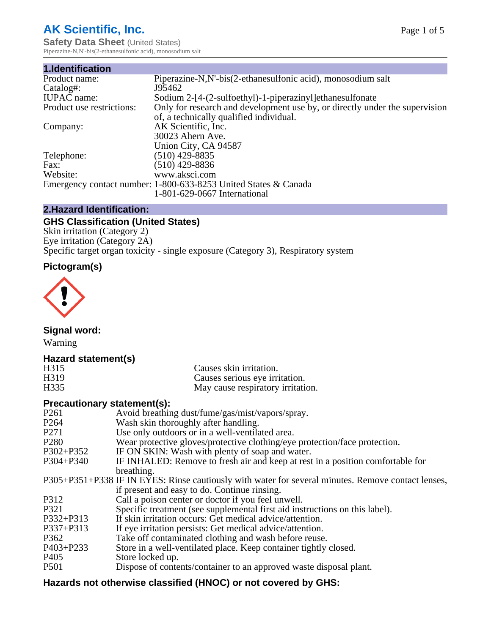# **AK Scientific, Inc.**

**Safety Data Sheet (United States)** Piperazine-N,N'-bis(2-ethanesulfonic acid), monosodium salt

| 1.Identification          |                                                                             |
|---------------------------|-----------------------------------------------------------------------------|
| Product name:             | Piperazine-N,N'-bis(2-ethanesulfonic acid), monosodium salt                 |
| Catalog#:                 | J95462                                                                      |
| <b>IUPAC</b> name:        | Sodium 2-[4-(2-sulfoethyl)-1-piperazinyl]ethanesulfonate                    |
| Product use restrictions: | Only for research and development use by, or directly under the supervision |
|                           | of, a technically qualified individual.                                     |
| Company:                  | AK Scientific, Inc.                                                         |
|                           | 30023 Ahern Ave.                                                            |
|                           | Union City, CA 94587                                                        |
| Telephone:                | $(510)$ 429-8835                                                            |
| Fax:                      | $(510)$ 429-8836                                                            |
| Website:                  | www.aksci.com                                                               |
|                           | Emergency contact number: 1-800-633-8253 United States & Canada             |
|                           | 1-801-629-0667 International                                                |

## **2.Hazard Identification:**

# **GHS Classification (United States)**

Skin irritation (Category 2) Eye irritation (Category 2A) Specific target organ toxicity - single exposure (Category 3), Respiratory system

# **Pictogram(s)**



**Signal word:**

Warning

# **Hazard statement(s)**

| H315 | Causes skin irritation.           |
|------|-----------------------------------|
| H319 | Causes serious eye irritation.    |
| H335 | May cause respiratory irritation. |

# **Precautionary statement(s):**

| P <sub>261</sub> | Avoid breathing dust/fume/gas/mist/vapors/spray.                                                   |
|------------------|----------------------------------------------------------------------------------------------------|
| P <sub>264</sub> | Wash skin thoroughly after handling.                                                               |
| P <sub>271</sub> | Use only outdoors or in a well-ventilated area.                                                    |
| P <sub>280</sub> | Wear protective gloves/protective clothing/eye protection/face protection.                         |
| P302+P352        | IF ON SKIN: Wash with plenty of soap and water.                                                    |
| $P304 + P340$    | IF INHALED: Remove to fresh air and keep at rest in a position comfortable for                     |
|                  | breathing.                                                                                         |
|                  | P305+P351+P338 IF IN EYES: Rinse cautiously with water for several minutes. Remove contact lenses, |
|                  | if present and easy to do. Continue rinsing.                                                       |
| P312             | Call a poison center or doctor if you feel unwell.                                                 |
| P321             | Specific treatment (see supplemental first aid instructions on this label).                        |
| P332+P313        | If skin irritation occurs: Get medical advice/attention.                                           |
| P337+P313        | If eye irritation persists: Get medical advice/attention.                                          |
| P362             | Take off contaminated clothing and wash before reuse.                                              |
| $P403 + P233$    | Store in a well-ventilated place. Keep container tightly closed.                                   |
| P <sub>405</sub> | Store locked up.                                                                                   |
| P <sub>501</sub> | Dispose of contents/container to an approved waste disposal plant.                                 |
|                  |                                                                                                    |

# **Hazards not otherwise classified (HNOC) or not covered by GHS:**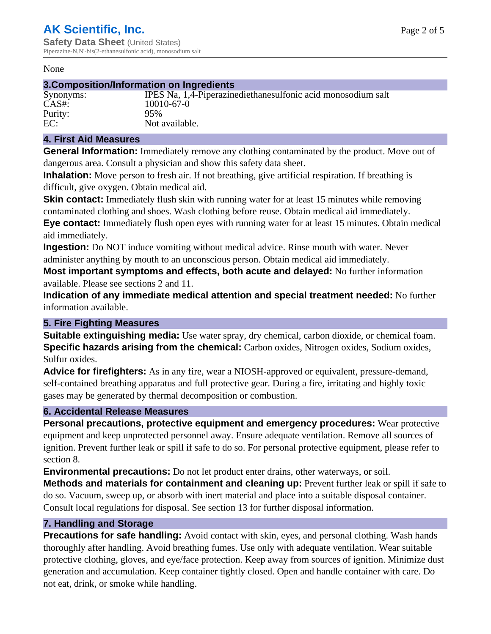#### None

# **3.Composition/Information on Ingredients**

# Purity:<br>EC:

Synonyms: IPES�Na, 1,4-Piperazinediethanesulfonic acid monosodium salt CAS#: 10010-67-0<br>Purity: 95% Not available.

#### **4. First Aid Measures**

**General Information:** Immediately remove any clothing contaminated by the product. Move out of dangerous area. Consult a physician and show this safety data sheet.

**Inhalation:** Move person to fresh air. If not breathing, give artificial respiration. If breathing is difficult, give oxygen. Obtain medical aid.

**Skin contact:** Immediately flush skin with running water for at least 15 minutes while removing contaminated clothing and shoes. Wash clothing before reuse. Obtain medical aid immediately.

**Eye contact:** Immediately flush open eyes with running water for at least 15 minutes. Obtain medical aid immediately.

**Ingestion:** Do NOT induce vomiting without medical advice. Rinse mouth with water. Never administer anything by mouth to an unconscious person. Obtain medical aid immediately.

**Most important symptoms and effects, both acute and delayed:** No further information available. Please see sections 2 and 11.

**Indication of any immediate medical attention and special treatment needed:** No further information available.

#### **5. Fire Fighting Measures**

**Suitable extinguishing media:** Use water spray, dry chemical, carbon dioxide, or chemical foam. **Specific hazards arising from the chemical:** Carbon oxides, Nitrogen oxides, Sodium oxides, Sulfur oxides.

**Advice for firefighters:** As in any fire, wear a NIOSH-approved or equivalent, pressure-demand, self-contained breathing apparatus and full protective gear. During a fire, irritating and highly toxic gases may be generated by thermal decomposition or combustion.

#### **6. Accidental Release Measures**

**Personal precautions, protective equipment and emergency procedures:** Wear protective equipment and keep unprotected personnel away. Ensure adequate ventilation. Remove all sources of ignition. Prevent further leak or spill if safe to do so. For personal protective equipment, please refer to section 8.

**Environmental precautions:** Do not let product enter drains, other waterways, or soil.

**Methods and materials for containment and cleaning up:** Prevent further leak or spill if safe to do so. Vacuum, sweep up, or absorb with inert material and place into a suitable disposal container. Consult local regulations for disposal. See section 13 for further disposal information.

#### **7. Handling and Storage**

**Precautions for safe handling:** Avoid contact with skin, eyes, and personal clothing. Wash hands thoroughly after handling. Avoid breathing fumes. Use only with adequate ventilation. Wear suitable protective clothing, gloves, and eye/face protection. Keep away from sources of ignition. Minimize dust generation and accumulation. Keep container tightly closed. Open and handle container with care. Do not eat, drink, or smoke while handling.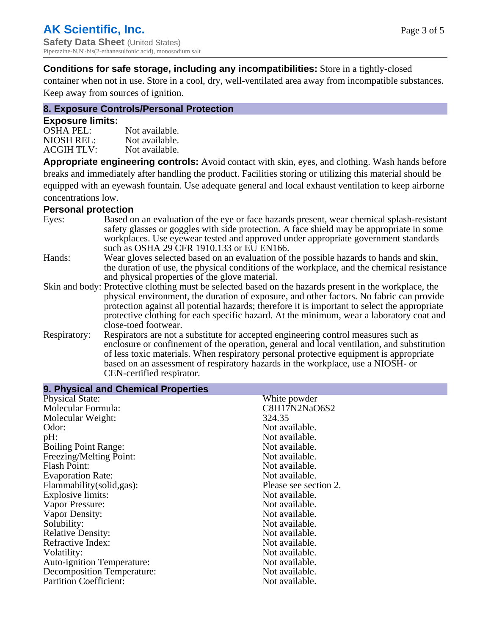**Conditions for safe storage, including any incompatibilities:** Store in a tightly-closed

container when not in use. Store in a cool, dry, well-ventilated area away from incompatible substances. Keep away from sources of ignition.

#### **8. Exposure Controls/Personal Protection**

#### **Exposure limits:**

| <b>OSHA PEL:</b>  | Not available. |
|-------------------|----------------|
| NIOSH REL:        | Not available. |
| <b>ACGIH TLV:</b> | Not available. |

**Appropriate engineering controls:** Avoid contact with skin, eyes, and clothing. Wash hands before breaks and immediately after handling the product. Facilities storing or utilizing this material should be equipped with an eyewash fountain. Use adequate general and local exhaust ventilation to keep airborne concentrations low.

#### **Personal protection**

| Eyes:        | Based on an evaluation of the eye or face hazards present, wear chemical splash-resistant<br>safety glasses or goggles with side protection. A face shield may be appropriate in some |
|--------------|---------------------------------------------------------------------------------------------------------------------------------------------------------------------------------------|
|              | workplaces. Use eyewear tested and approved under appropriate government standards<br>such as OSHA 29 CFR 1910.133 or EU EN166.                                                       |
| Hands:       | Wear gloves selected based on an evaluation of the possible hazards to hands and skin,                                                                                                |
|              | the duration of use, the physical conditions of the workplace, and the chemical resistance                                                                                            |
|              | and physical properties of the glove material.                                                                                                                                        |
|              | Skin and body: Protective clothing must be selected based on the hazards present in the workplace, the                                                                                |
|              | physical environment, the duration of exposure, and other factors. No fabric can provide                                                                                              |
|              | protection against all potential hazards; therefore it is important to select the appropriate                                                                                         |
|              | protective clothing for each specific hazard. At the minimum, wear a laboratory coat and                                                                                              |
|              | close-toed footwear.                                                                                                                                                                  |
| Respiratory: | Respirators are not a substitute for accepted engineering control measures such as<br>enclosure or confinement of the operation, general and local ventilation, and substitution      |
|              | of less toxic materials. When respiratory personal protective equipment is appropriate                                                                                                |
|              | based on an assessment of respiratory hazards in the workplace, use a NIOSH- or                                                                                                       |
|              | CEN-certified respirator.                                                                                                                                                             |

| 9. Physical and Chemical Properties |                       |  |
|-------------------------------------|-----------------------|--|
| <b>Physical State:</b>              | White powder          |  |
| Molecular Formula:                  | C8H17N2NaO6S2         |  |
| Molecular Weight:                   | 324.35                |  |
| Odor:                               | Not available.        |  |
| pH:                                 | Not available.        |  |
| <b>Boiling Point Range:</b>         | Not available.        |  |
| Freezing/Melting Point:             | Not available.        |  |
| <b>Flash Point:</b>                 | Not available.        |  |
| <b>Evaporation Rate:</b>            | Not available.        |  |
| Flammability(solid,gas):            | Please see section 2. |  |
| Explosive limits:                   | Not available.        |  |
| Vapor Pressure:                     | Not available.        |  |
| Vapor Density:                      | Not available.        |  |
| Solubility:                         | Not available.        |  |
| <b>Relative Density:</b>            | Not available.        |  |
| Refractive Index:                   | Not available.        |  |
| Volatility:                         | Not available.        |  |
| <b>Auto-ignition Temperature:</b>   | Not available.        |  |
| Decomposition Temperature:          | Not available.        |  |
| <b>Partition Coefficient:</b>       | Not available.        |  |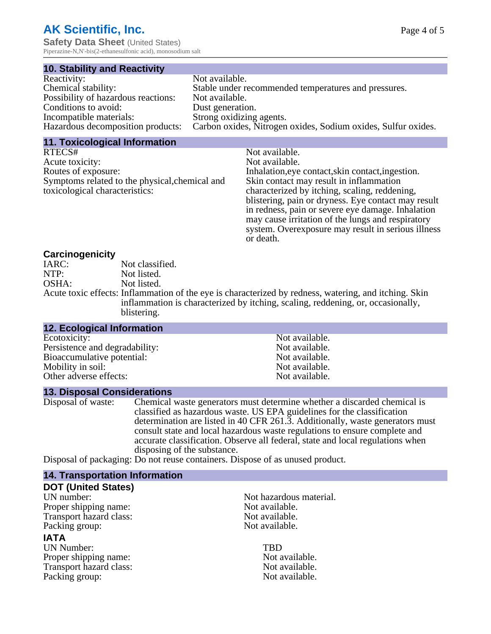# **AK Scientific, Inc.**

**Safety Data Sheet** (United States) Piperazine-N,N'-bis(2-ethanesulfonic acid), monosodium salt

| <b>10. Stability and Reactivity</b> |                                                                                                 |
|-------------------------------------|-------------------------------------------------------------------------------------------------|
| Reactivity:                         | Not available.                                                                                  |
| Chemical stability:                 | Stable under recommended temperatures and pressures.                                            |
| Possibility of hazardous reactions: | Not available.                                                                                  |
| Conditions to avoid:                | Dust generation.                                                                                |
| Incompatible materials:             | Strong oxidizing agents.                                                                        |
|                                     | Hazardous decomposition products: Carbon oxides, Nitrogen oxides, Sodium oxides, Sulfur oxides. |

#### **11. Toxicological Information**

| RTECS#                                         | Not available.                                      |
|------------------------------------------------|-----------------------------------------------------|
| Acute toxicity:                                | Not available.                                      |
| Routes of exposure:                            | Inhalation, eye contact, skin contact, ingestion.   |
| Symptoms related to the physical, chemical and | Skin contact may result in inflammation             |
| toxicological characteristics:                 | characterized by itching, scaling, reddening,       |
|                                                | blistering, pain or dryness. Eye contact may result |
|                                                | in redness, pain or severe eye damage. Inhalation   |
|                                                | may cause irritation of the lungs and respiratory   |
|                                                | system. Overexposure may result in serious illness  |
|                                                | or death.                                           |

#### **Carcinogenicity**

| IARC: | Not classified.                                                                                       |
|-------|-------------------------------------------------------------------------------------------------------|
| NTP:  | Not listed.                                                                                           |
| OSHA: | Not listed.                                                                                           |
|       | Acute toxic effects: Inflammation of the eye is characterized by redness, watering, and itching. Skin |
|       | inflammation is characterized by itching, scaling, reddening, or, occasionally,                       |
|       | blistering.                                                                                           |

| Not available. |
|----------------|
| Not available. |
| Not available. |
| Not available. |
| Not available. |
|                |

#### **13. Disposal Considerations**

**14. Transportation Information**

Disposal of waste: Chemical waste generators must determine whether a discarded chemical is classified as hazardous waste. US EPA guidelines for the classification determination are listed in 40 CFR 261.3. Additionally, waste generators must consult state and local hazardous waste regulations to ensure complete and accurate classification. Observe all federal, state and local regulations when disposing of the substance.

Disposal of packaging: Do not reuse containers. Dispose of as unused product.

| <b>14. Hansportation information</b> |  |
|--------------------------------------|--|
|                                      |  |
| Not hazardous material.              |  |
| Not available.                       |  |
| Not available.                       |  |
| Not available.                       |  |
|                                      |  |
| TBD                                  |  |
| Not available.                       |  |
| Not available.                       |  |
| Not available.                       |  |
|                                      |  |